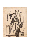